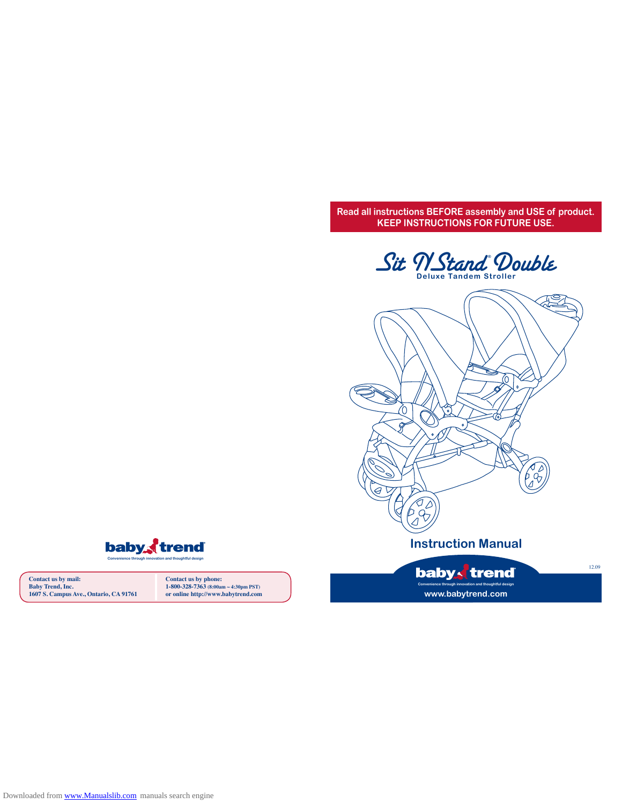**Read all instructions BEFORE assembly and USE of product. KEEP INSTRUCTIONS FOR FUTURE USE.**







**Contact us by mail: Baby Trend, Inc. 1607 S. Campus Ave., Ontario, CA 91761** **Contact us by phone: 1-800-328-7363 (8:00am ~ 4:30pm PST) or online http://www.babytrend.com**

**www.babytrend.com**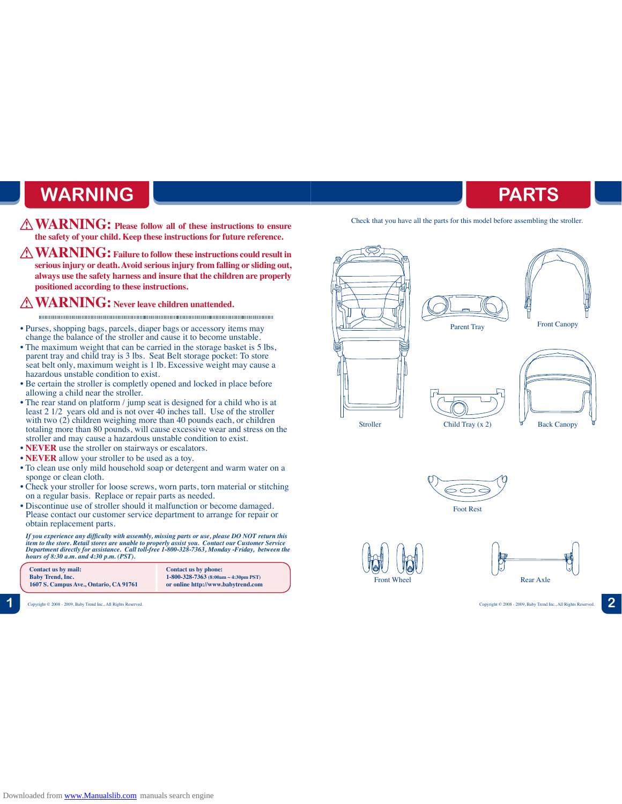# **WARNING PARTS**

- **WARNING: Please follow all of these instructions to ensure the safety of your child. Keep these instructions for future reference.**
- **WARNING: Failure to follow these instructions could result in serious injury or death. Avoid serious injury from falling or sliding out, always use the safety harness and insure that the children are properly positioned according to these instructions.**

....................

## **WARNING: Never leave children unattended.**

- • Purses, shopping bags, parcels, diaper bags or accessory items may change the balance of the stroller and cause it to become unstable.
- The maximum weight that can be carried in the storage basket is 5 lbs, parent tray and child tray is 3 lbs. Seat Belt storage pocket: To store seat belt only, maximum weight is 1 lb. Excessive weight may cause a hazardous unstable condition to exist.
- Be certain the stroller is completly opened and locked in place before allowing a child near the stroller.
- The rear stand on platform / jump seat is designed for a child who is at least 2 1/2 years old and is not over 40 inches tall. Use of the stroller with two  $(2)$  children weighing more than 40 pounds each, or children totaling more than 80 pounds, will cause excessive wear and stress on the stroller and may cause a hazardous unstable condition to exist.
- **NEVER** use the stroller on stairways or escalators.
- **NEVER** allow your stroller to be used as a toy.
- To clean use only mild household soap or detergent and warm water on a sponge or clean cloth.
- Check your stroller for loose screws, worn parts, torn material or stitching on a regular basis. Replace or repair parts as needed.
- Discontinue use of stroller should it malfunction or become damaged. Please contact our customer service department to arrange for repair or obtain replacement parts.

*If you experience any difficulty with assembly, missing parts or use, please DO NOT return this item to the store. Retail stores are unable to properly assist you. Contact our Customer Service Department directly for assistance. Call toll-free 1-800-328-7363, Monday -Friday, between the hours of 8:30 a.m. and 4:30 p.m. (PST).*



**1** Copyright © 2008 - 2009, Baby Trend Inc., All Rights Reserved. Copyright © 2008 - 2009, Baby Trend Inc., All Rights Reserved. **2**

Check that you have all the parts for this model before assembling the stroller.







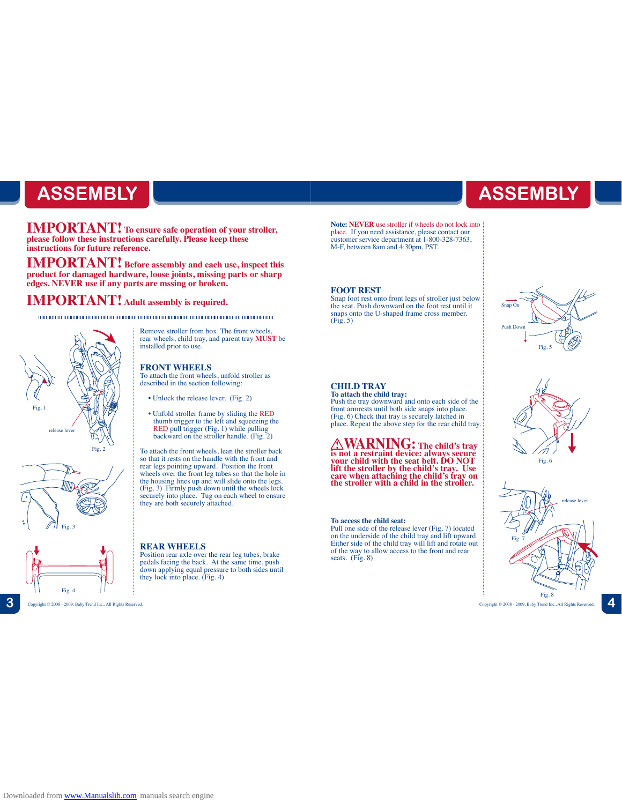# **ASSEMBLY**

**IMPORTANT! To ensure safe operation of your stroller, please follow these instructions carefully. Please keep these instructions for future reference.**

**IMPORTANT! Before assembly and each use, inspect this product for damaged hardware, loose joints, missing parts or sharp edges. NEVER use if any parts are mssing or broken.**

installed prior to use.

**FRONT WHEELS**

## **IMPORTANT! Adult assembly is required.**







## **REAR WHEELS**

they are both securely attached.

Position rear axle over the rear leg tubes, brake pedals facing the back. At the same time, push down applying equal pressure to both sides until they lock into place. (Fig. 4)

Remove stroller from box. The front wheels, rear wheels, child tray, and parent tray **MUST** be

To attach the front wheels, unfold stroller as described in the section following: • Unlock the release lever. (Fig. 2)

• Unfold stroller frame by sliding the RED thumb trigger to the left and squeezing the RED pull trigger (Fig. 1) while pulling backward on the stroller handle. (Fig. 2) To attach the front wheels, lean the stroller back so that it rests on the handle with the front and rear legs pointing upward. Position the front

wheels over the front leg tubes so that the hole in<br>the housing lines up and will slide onto the legs.<br>(Fig. 3) Firmly push down until the wheels lock<br>securely into place. Tug on each wheel to ensure

**Note: NEVER** use stroller if wheels do not lock into place. If you need assistance, please contact our customer service department at 1-800-328-7363, M-F, between 8am and 4:30pm, PST.

## **FOOT REST**

Snap foot rest onto front legs of stroller just below the seat. Push downward on the foot rest until it snaps onto the U-shaped frame cross member. (Fig. 5)



## **CHILD TRAY**

Push the tray downward and onto each side of the front armrests until both side snaps into place. (Fig. 6) Check that tray is securely latched in place. Repeat the above step for the rear child tray.

 **WARNING: The child's tray is not a restraint device: always secure your child with the seat belt. DO NOT lift the stroller by the child's tray. Use care when attaching the child's tray on the stroller with a child in the stroller.** 

### **To access the child seat:**

Pull one side of the release lever (Fig. 7) located on the underside of the child tray and lift upward. Either side of the child tray will lift and rotate out of the way to allow access to the front and rear seats. (Fig. 8)



 Copyright © 2008 - 2009, Baby Trend Inc., All Rights Reserved. Copyright © 2008 - 2009, Baby Trend Inc., All Rights Reserved. **3 4**

Fig. 8

**ASSEMBLY**

**To attach the child tray:**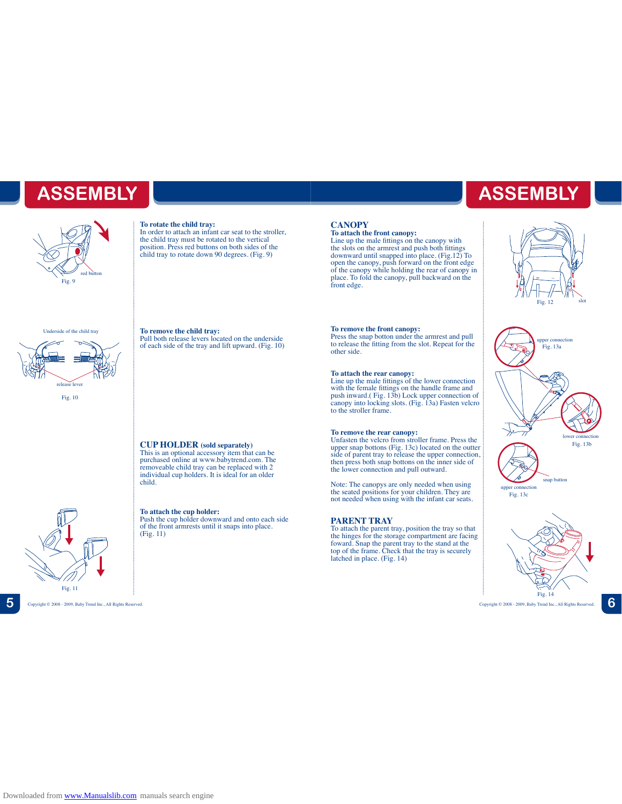

### **To rotate the child tray:**

In order to attach an infant car seat to the stroller, the child tray must be rotated to the vertical position. Press red buttons on both sides of the child tray to rotate down 90 degrees. (Fig. 9)

### Underside of the child tray



Fig. 10

Fig. 11

**To remove the child tray:** Pull both release levers located on the underside of each side of the tray and lift upward. (Fig. 10)

## **CUP HOLDER (sold separately)**

This is an optional accessory item that can be purchased online at www.babytrend.com. The removeable child tray can be replaced with 2 individual cup holders. It is ideal for an older child.

### **To attach the cup holder:**

Push the cup holder downward and onto each side of the front armrests until it snaps into place. (Fig. 11)

# **ASSEMBLY ASSEMBLY**

**CANOPY**<br>To attach the front canopy:<br>Line up the male fittings on the canopy with<br>the slots on the armrest and push both fittings<br>downward until snapped into place. (Fig.12) To<br>open the canopy, push forward on the front ed front edge.

### **To remove the front canopy:**

Press the snap botton under the armrest and pull to release the fitting from the slot. Repeat for the other side.

**To attach the rear canopy:** Line up the male fittings of the lower connection with the female fittings on the handle frame and push inward.( Fig. 13b) Lock upper connection of canopy into locking slots. (Fig. 13a) Fasten velcro to the stroller frame.

**To remove the rear canopy:** Unfasten the velcro from stroller frame. Press the upper snap bottons (Fig. 13c) located on the outter side of parent tray to release the upper connection, then press both snap bottons on the inner side of the lower connection and pull outward.

Note: The canopys are only needed when using the seated positions for your children. They are not needed when using with the infant car seats.

## **PARENT TRAY**

To attach the parent tray, position the tray so that the hinges for the storage compartment are facing foward. Snap the parent tray to the stand at the top of the frame. Check that the tray is securely latched in place. (Fig. 14)





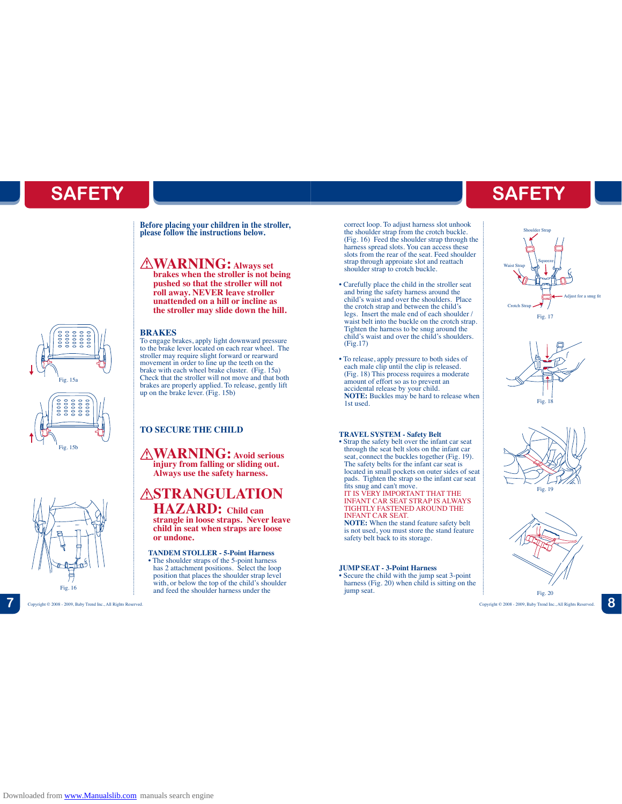**Before placing your children in the stroller, please follow the instructions below.**

## **WARNING: Always set**

**brakes when the stroller is not being pushed so that the stroller will not roll away. NEVER leave stroller unattended on a hill or incline as the stroller may slide down the hill.**

## **BRAKES**

To engage brakes, apply light downward pressure to the brake lever located on each rear wheel. The stroller may require slight forward or rearward movement in order to line up the teeth on the brake with each wheel brake cluster. (Fig. 15a) Check that the stroller will not move and that both brakes are properly applied. To release, gently lift up on the brake lever. (Fig. 15b)

## **TO SECURE THE CHILD**

**WARNING: Avoid serious injury from falling or sliding out. Always use the safety harness.** 

## **ASTRANGULATION HAZARD: Child can**

**strangle in loose straps. Never leave child in seat when straps are loose or undone.** 

## **TANDEM STOLLER - 5-Point Harness**

• The shoulder straps of the 5-point harness has 2 attachment positions. Select the loop position that places the shoulder strap level with, or below the top of the child's shoulder and feed the shoulder harness under the correct loop. To adjust harness slot unhook the shoulder strap from the crotch buckle. (Fig. 16) Feed the shoulder strap through the harness spread slots. You can access these slots from the rear of the seat. Feed shoulder strap through approiate slot and reattach shoulder strap to crotch buckle.

- Carefully place the child in the stroller seat and bring the safety harness around the child's waist and over the shoulders. Place the crotch strap and between the child's legs. Insert the male end of each shoulder / waist belt into the buckle on the crotch strap. Tighten the harness to be snug around the child's waist and over the child's shoulders. (Fig.17)
- To release, apply pressure to both sides of each male clip until the clip is released. (Fig. 18) This process requires a moderate amount of effort so as to prevent an accidental release by your child. **NOTE:** Buckles may be hard to release when 1st used.

## **TRAVEL SYSTEM - Safety Belt**

• Strap the safety belt over the infant car seat through the seat belt slots on the infant car seat, connect the buckles together (Fig. 19). The safety belts for the infant car seat is located in small pockets on outer sides of seat pads. Tighten the strap so the infant car seat fits snug and can't move. IT IS VERY IMPORTANT THAT THE INFANT CAR SEAT STRAP IS ALWAYS TIGHTLY FASTENED AROUND THE INFANT CAR SEAT. **NOTE:** When the stand feature safety belt is not used, you must store the stand feature safety belt back to its storage.

### **JUMP SEAT - 3-Point Harness**

Secure the child with the jump seat 3-point harness (Fig. 20) when child is sitting on the jump seat.

# **SAFETY SAFETY**









Fig. 15a

Fig. 15b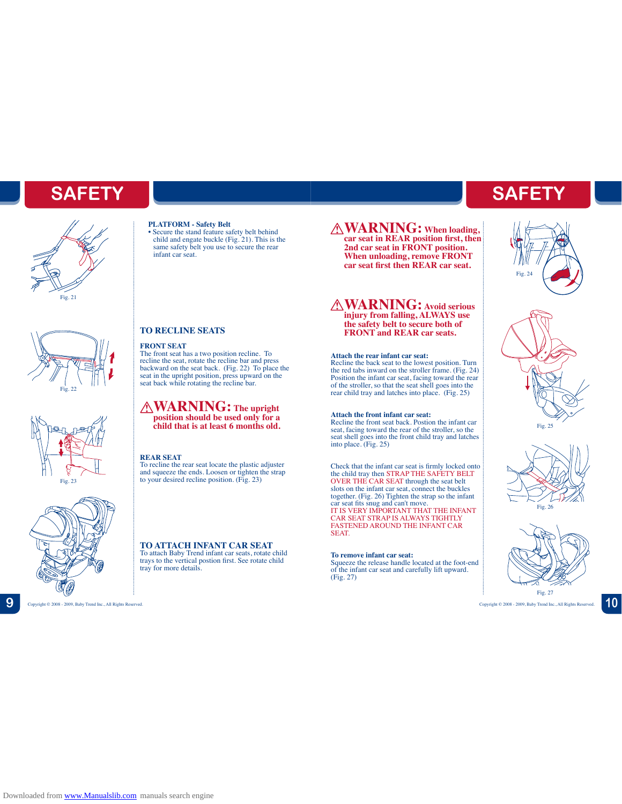# **SAFETY**









## **PLATFORM - Safety Belt**

• Secure the stand feature safety belt behind child and engate buckle (Fig. 21). This is the same safety belt you use to secure the rear infant car seat.

## **TO RECLINE SEATS**

### **FRONT SEAT**

The front seat has a two position recline. To recline the seat, rotate the recline bar and press backward on the seat back. (Fig. 22) To place the seat in the upright position, press upward on the seat back while rotating the recline bar.

## **WARNING: The upright position should be used only for a child that is at least 6 months old.**

### **REAR SEAT**

To recline the rear seat locate the plastic adjuster and squeeze the ends. Loosen or tighten the strap to your desired recline position. (Fig. 23)

## **TO ATTACH INFANT CAR SEAT** To attach Baby Trend infant car seats, rotate child trays to the vertical postion first. See rotate child

tray for more details.

**WARNING: When loading, car seat in REAR position first, then 2nd car seat in FRONT position. When unloading, remove FRONT car seat first then REAR car seat.**

## **WARNING: Avoid serious injury from falling, ALWAYS use the safety belt to secure both of FRONT and REAR car seats.**

### **Attach the rear infant car seat:**

Recline the back seat to the lowest position. Turn the red tabs inward on the stroller frame. (Fig. 24) Position the infant car seat, facing toward the rear of the stroller, so that the seat shell goes into the rear child tray and latches into place. (Fig. 25)

### **Attach the front infant car seat:**

Recline the front seat back. Postion the infant car seat, facing toward the rear of the stroller, so the seat shell goes into the front child tray and latches into place. (Fig. 25)

Check that the infant car seat is firmly locked onto the child tray then STRAP THE SAFETY BELT OVER THE CAR SEAT through the seat belt slots on the infant car seat, connect the buckles together. (Fig. 26) Tighten the strap so the infant car seat fits snug and can't move.<br>IT IS VERY IMPORTANT THAT THE INFANT<br>CAR SEAT STRAP IS ALWAYS TIGHTLY<br>FASTENED AROUND THE INFANT CAR SEAT.

### **To remove infant car seat:**

Squeeze the release handle located at the foot-end of the infant car seat and carefully lift upward. (Fig. 27)

# **SAFETY**









Copyright © 2008 - 2009, Baby Trend Inc., All Rights Reserved. Copyright © 2008 - 2009, Baby Trend Inc., All Rights Reserved.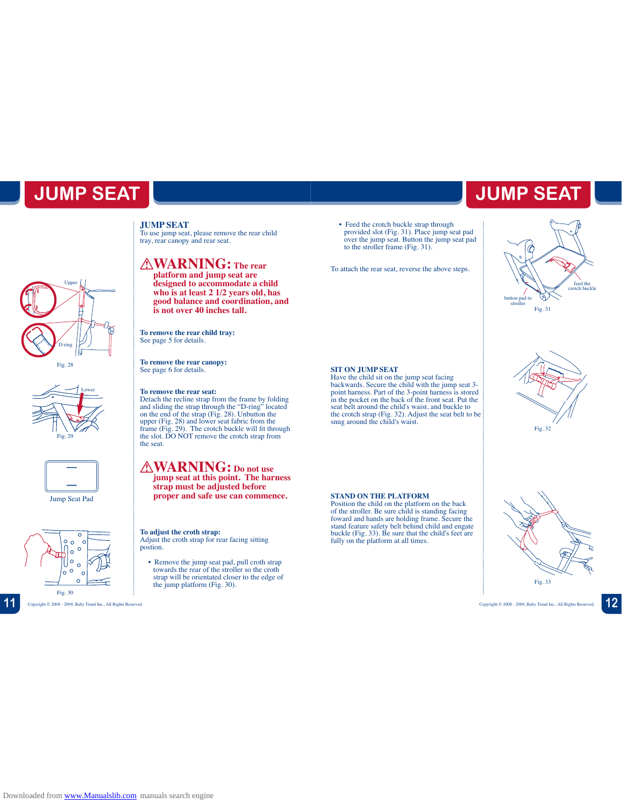# **JUMP SEAT**

Upper D-ring

Fig. 28

Lower

Fig. 29

Jump Seat Pad

 $\epsilon$  $\circ$ 

Fig. 30

 $\circ$  $\circ$  $\Omega$  To use jump seat, please remove the rear child tray, rear canopy and rear seat.

**JUMP SEAT**

## **WARNING: The rear**

**platform and jump seat are designed to accommodate a child who is at least 2 1/2 years old, has good balance and coordination, and is not over 40 inches tall.**

**To remove the rear child tray:** See page 5 for details.

**To remove the rear canopy:** See page 6 for details.

**To remove the rear seat:** Detach the recline strap from the frame by folding<br>and sliding the strap through the "D-ring" located<br>on the end of the strap (Fig. 28). Unbutton the<br>upper (Fig. 28) and lower seat fabric from the<br>frame (Fig. 29). The crot the slot. DO NOT remove the crotch strap from the seat.

**WARNING: Do not use jump seat at this point. The harness strap must be adjusted before proper and safe use can commence.** 

**To adjust the croth strap:** Adjust the croth strap for rear facing sitting postion.

• Remove the jump seat pad, pull croth strap towards the rear of the stroller so the croth strap will be orientated closer to the edge of the jump platform (Fig. 30).

• Feed the crotch buckle strap through provided slot (Fig. 31). Place jump seat pad over the jump seat. Button the jump seat pad to the stroller frame (Fig. 31).

To attach the rear seat, reverse the above steps.



**JUMP SEAT**







**SIT ON JUMP SEAT**

Position the child on the platform on the back of the stroller. Be sure child is standing facing foward and hands are holding frame. Secure the stand feature safety belt behind child and engate buckle (Fig. 33). Be sure that the child's feet are fully on the platform at all times.

seat belt around the child's waist, and buckle to the crotch strap (Fig. 32). Adjust the seat belt to be snug around the child's waist.



**11** Copyright © 2008 - 2009, Baby Trend Inc., All Rights Reserved. Copyright © 2008 - 2009, Baby Trend Inc., All Rights Reserved. **12**